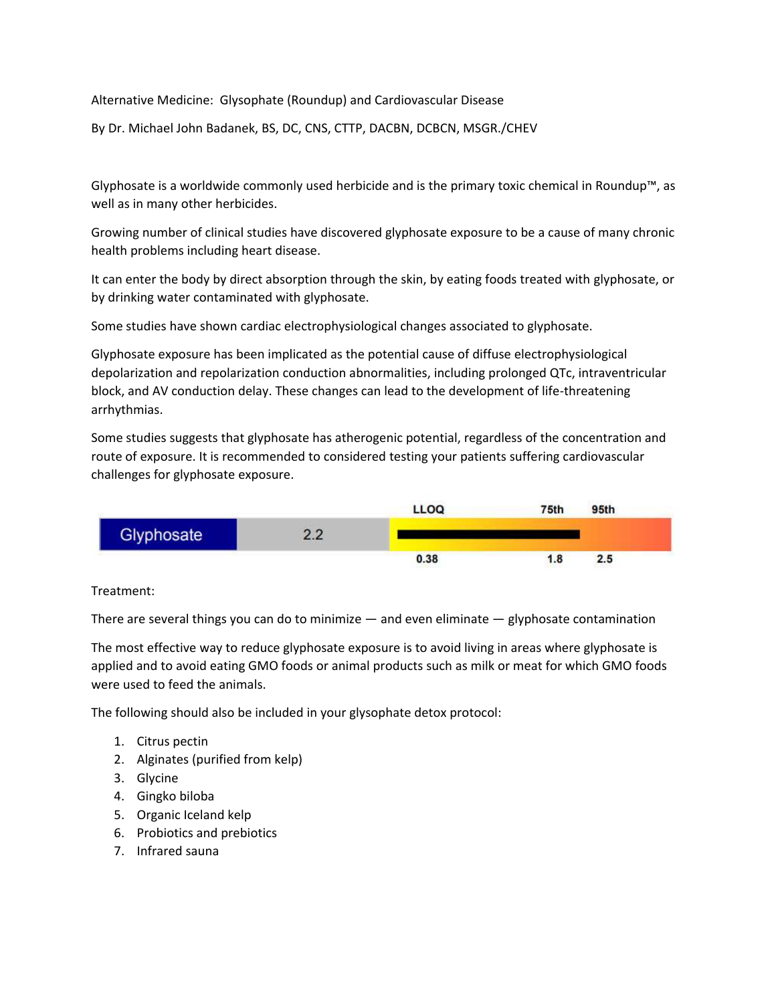Alternative Medicine: Glysophate (Roundup) and Cardiovascular Disease

By Dr. Michael John Badanek, BS, DC, CNS, CTTP, DACBN, DCBCN, MSGR./CHEV

Glyphosate is a worldwide commonly used herbicide and is the primary toxic chemical in Roundup™, as well as in many other herbicides.

Growing number of clinical studies have discovered glyphosate exposure to be a cause of many chronic health problems including heart disease.

It can enter the body by direct absorption through the skin, by eating foods treated with glyphosate, or by drinking water contaminated with glyphosate.

Some studies have shown cardiac electrophysiological changes associated to glyphosate.

Glyphosate exposure has been implicated as the potential cause of diffuse electrophysiological depolarization and repolarization conduction abnormalities, including prolonged QTc, intraventricular block, and AV conduction delay. These changes can lead to the development of life-threatening arrhythmias.

Some studies suggests that glyphosate has atherogenic potential, regardless of the concentration and route of exposure. It is recommended to considered testing your patients suffering cardiovascular challenges for glyphosate exposure.



## Treatment:

There are several things you can do to minimize — and even eliminate — glyphosate contamination

The most effective way to reduce glyphosate exposure is to avoid living in areas where glyphosate is applied and to avoid eating GMO foods or animal products such as milk or meat for which GMO foods were used to feed the animals.

The following should also be included in your glysophate detox protocol:

- 1. Citrus pectin
- 2. Alginates (purified from kelp)
- 3. Glycine
- 4. Gingko biloba
- 5. Organic Iceland kelp
- 6. Probiotics and prebiotics
- 7. Infrared sauna